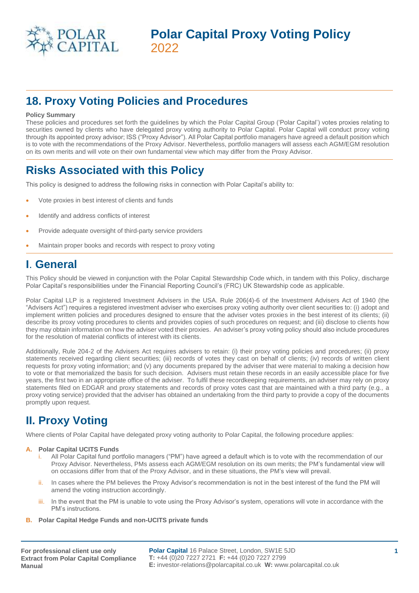

# **18. Proxy Voting Policies and Procedures**

### **Policy Summary**

These policies and procedures set forth the guidelines by which the Polar Capital Group ('Polar Capital') votes proxies relating to securities owned by clients who have delegated proxy voting authority to Polar Capital. Polar Capital will conduct proxy voting through its appointed proxy advisor; ISS ("Proxy Advisor"). All Polar Capital portfolio managers have agreed a default position which is to vote with the recommendations of the Proxy Advisor. Nevertheless, portfolio managers will assess each AGM/EGM resolution on its own merits and will vote on their own fundamental view which may differ from the Proxy Advisor.

# **Risks Associated with this Policy**

This policy is designed to address the following risks in connection with Polar Capital's ability to:

- Vote proxies in best interest of clients and funds
- Identify and address conflicts of interest
- Provide adequate oversight of third-party service providers
- Maintain proper books and records with respect to proxy voting

### **I**. **General**

This Policy should be viewed in conjunction with the Polar Capital Stewardship Code which, in tandem with this Policy, discharge Polar Capital's responsibilities under the Financial Reporting Council's (FRC) UK Stewardship code as applicable.

Polar Capital LLP is a registered Investment Advisers in the USA. Rule 206(4)-6 of the Investment Advisers Act of 1940 (the "Advisers Act") requires a registered investment adviser who exercises proxy voting authority over client securities to: (i) adopt and implement written policies and procedures designed to ensure that the adviser votes proxies in the best interest of its clients; (ii) describe its proxy voting procedures to clients and provides copies of such procedures on request; and (iii) disclose to clients how they may obtain information on how the adviser voted their proxies. An adviser's proxy voting policy should also include procedures for the resolution of material conflicts of interest with its clients.

Additionally, Rule 204-2 of the Advisers Act requires advisers to retain: (i) their proxy voting policies and procedures; (ii) proxy statements received regarding client securities; (iii) records of votes they cast on behalf of clients; (iv) records of written client requests for proxy voting information; and (v) any documents prepared by the adviser that were material to making a decision how to vote or that memorialized the basis for such decision. Advisers must retain these records in an easily accessible place for five years, the first two in an appropriate office of the adviser. To fulfil these recordkeeping requirements, an adviser may rely on proxy statements filed on EDGAR and proxy statements and records of proxy votes cast that are maintained with a third party (e.g., a proxy voting service) provided that the adviser has obtained an undertaking from the third party to provide a copy of the documents promptly upon request.

# **II. Proxy Voting**

Where clients of Polar Capital have delegated proxy voting authority to Polar Capital, the following procedure applies:

### **A. Polar Capital UCITS Funds**

- All Polar Capital fund portfolio managers ("PM") have agreed a default which is to vote with the recommendation of our Proxy Advisor. Nevertheless, PMs assess each AGM/EGM resolution on its own merits; the PM's fundamental view will on occasions differ from that of the Proxy Advisor, and in these situations, the PM's view will prevail.
- ii. In cases where the PM believes the Proxy Advisor's recommendation is not in the best interest of the fund the PM will amend the voting instruction accordingly.
- iii. In the event that the PM is unable to vote using the Proxy Advisor's system, operations will vote in accordance with the PM's instructions.
- **B. Polar Capital Hedge Funds and non-UCITS private funds**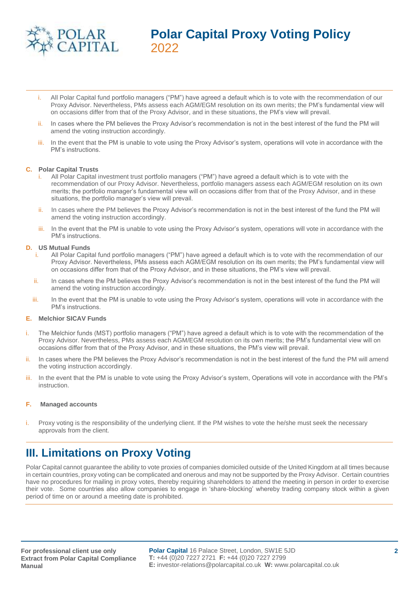

- i. All Polar Capital fund portfolio managers ("PM") have agreed a default which is to vote with the recommendation of our Proxy Advisor. Nevertheless, PMs assess each AGM/EGM resolution on its own merits; the PM's fundamental view will on occasions differ from that of the Proxy Advisor, and in these situations, the PM's view will prevail.
- In cases where the PM believes the Proxy Advisor's recommendation is not in the best interest of the fund the PM will amend the voting instruction accordingly.
- iii. In the event that the PM is unable to vote using the Proxy Advisor's system, operations will vote in accordance with the PM's instructions.

#### **C. Polar Capital Trusts**

- All Polar Capital investment trust portfolio managers ("PM") have agreed a default which is to vote with the recommendation of our Proxy Advisor. Nevertheless, portfolio managers assess each AGM/EGM resolution on its own merits; the portfolio manager's fundamental view will on occasions differ from that of the Proxy Advisor, and in these situations, the portfolio manager's view will prevail.
- ii. In cases where the PM believes the Proxy Advisor's recommendation is not in the best interest of the fund the PM will amend the voting instruction accordingly.
- iii. In the event that the PM is unable to vote using the Proxy Advisor's system, operations will vote in accordance with the PM's instructions.

#### **D. US Mutual Funds**

- i. All Polar Capital fund portfolio managers ("PM") have agreed a default which is to vote with the recommendation of our Proxy Advisor. Nevertheless, PMs assess each AGM/EGM resolution on its own merits; the PM's fundamental view will on occasions differ from that of the Proxy Advisor, and in these situations, the PM's view will prevail.
- ii. In cases where the PM believes the Proxy Advisor's recommendation is not in the best interest of the fund the PM will amend the voting instruction accordingly.
- iii. In the event that the PM is unable to vote using the Proxy Advisor's system, operations will vote in accordance with the PM's instructions.

#### **E. Melchior SICAV Funds**

- i. The Melchior funds (MST) portfolio managers ("PM") have agreed a default which is to vote with the recommendation of the Proxy Advisor. Nevertheless, PMs assess each AGM/EGM resolution on its own merits; the PM's fundamental view will on occasions differ from that of the Proxy Advisor, and in these situations, the PM's view will prevail.
- ii. In cases where the PM believes the Proxy Advisor's recommendation is not in the best interest of the fund the PM will amend the voting instruction accordingly.
- iii. In the event that the PM is unable to vote using the Proxy Advisor's system, Operations will vote in accordance with the PM's instruction.

#### **F. Managed accounts**

i. Proxy voting is the responsibility of the underlying client. If the PM wishes to vote the he/she must seek the necessary approvals from the client.

## **III. Limitations on Proxy Voting**

Polar Capital cannot guarantee the ability to vote proxies of companies domiciled outside of the United Kingdom at all times because in certain countries, proxy voting can be complicated and onerous and may not be supported by the Proxy Advisor. Certain countries have no procedures for mailing in proxy votes, thereby requiring shareholders to attend the meeting in person in order to exercise their vote. Some countries also allow companies to engage in 'share-blocking' whereby trading company stock within a given period of time on or around a meeting date is prohibited.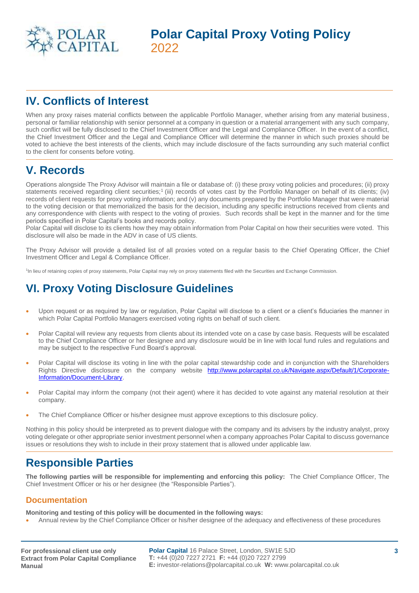

# **IV. Conflicts of Interest**

When any proxy raises material conflicts between the applicable Portfolio Manager, whether arising from any material business, personal or familiar relationship with senior personnel at a company in question or a material arrangement with any such company, such conflict will be fully disclosed to the Chief Investment Officer and the Legal and Compliance Officer. In the event of a conflict, the Chief Investment Officer and the Legal and Compliance Officer will determine the manner in which such proxies should be voted to achieve the best interests of the clients, which may include disclosure of the facts surrounding any such material conflict to the client for consents before voting.

# **V. Records**

Operations alongside The Proxy Advisor will maintain a file or database of: (i) these proxy voting policies and procedures; (ii) proxy statements received regarding client securities;<sup>1</sup> (iii) records of votes cast by the Portfolio Manager on behalf of its clients; (iv) records of client requests for proxy voting information; and (v) any documents prepared by the Portfolio Manager that were material to the voting decision or that memorialized the basis for the decision, including any specific instructions received from clients and any correspondence with clients with respect to the voting of proxies. Such records shall be kept in the manner and for the time periods specified in Polar Capital's books and records policy.

Polar Capital will disclose to its clients how they may obtain information from Polar Capital on how their securities were voted. This disclosure will also be made in the ADV in case of US clients.

The Proxy Advisor will provide a detailed list of all proxies voted on a regular basis to the Chief Operating Officer, the Chief Investment Officer and Legal & Compliance Officer.

1 In lieu of retaining copies of proxy statements, Polar Capital may rely on proxy statements filed with the Securities and Exchange Commission.

# **VI. Proxy Voting Disclosure Guidelines**

- Upon request or as required by law or regulation, Polar Capital will disclose to a client or a client's fiduciaries the manner in which Polar Capital Portfolio Managers exercised voting rights on behalf of such client.
- Polar Capital will review any requests from clients about its intended vote on a case by case basis. Requests will be escalated to the Chief Compliance Officer or her designee and any disclosure would be in line with local fund rules and regulations and may be subject to the respective Fund Board's approval.
- Polar Capital will disclose its voting in line with the polar capital stewardship code and in conjunction with the Shareholders Rights Directive disclosure on the company website [http://www.polarcapital.co.uk/Navigate.aspx/Default/1/Corporate-](http://www.polarcapital.co.uk/Navigate.aspx/Default/1/Corporate-Information/Document-Library)[Information/Document-Library.](http://www.polarcapital.co.uk/Navigate.aspx/Default/1/Corporate-Information/Document-Library)
- Polar Capital may inform the company (not their agent) where it has decided to vote against any material resolution at their company.
- The Chief Compliance Officer or his/her designee must approve exceptions to this disclosure policy.

Nothing in this policy should be interpreted as to prevent dialogue with the company and its advisers by the industry analyst, proxy voting delegate or other appropriate senior investment personnel when a company approaches Polar Capital to discuss governance issues or resolutions they wish to include in their proxy statement that is allowed under applicable law.

## **Responsible Parties**

**The following parties will be responsible for implementing and enforcing this policy:** The Chief Compliance Officer, The Chief Investment Officer or his or her designee (the "Responsible Parties").

### **Documentation**

**Monitoring and testing of this policy will be documented in the following ways:** 

• Annual review by the Chief Compliance Officer or his/her designee of the adequacy and effectiveness of these procedures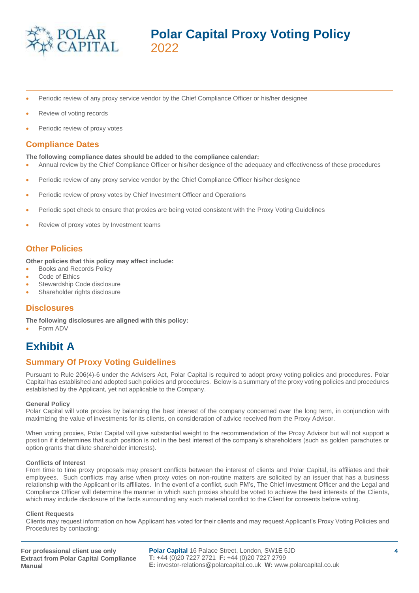

- Periodic review of any proxy service vendor by the Chief Compliance Officer or his/her designee
- Review of voting records
- Periodic review of proxy votes

### **Compliance Dates**

#### **The following compliance dates should be added to the compliance calendar:**

- Annual review by the Chief Compliance Officer or his/her designee of the adequacy and effectiveness of these procedures
- Periodic review of any proxy service vendor by the Chief Compliance Officer his/her designee
- Periodic review of proxy votes by Chief Investment Officer and Operations
- Periodic spot check to ensure that proxies are being voted consistent with the Proxy Voting Guidelines
- Review of proxy votes by Investment teams

### **Other Policies**

**Other policies that this policy may affect include:** 

- Books and Records Policy
- Code of Ethics
- Stewardship Code disclosure
- Shareholder rights disclosure

### **Disclosures**

**The following disclosures are aligned with this policy:**

• Form ADV

## **Exhibit A**

### **Summary Of Proxy Voting Guidelines**

Pursuant to Rule 206(4)-6 under the Advisers Act, Polar Capital is required to adopt proxy voting policies and procedures. Polar Capital has established and adopted such policies and procedures. Below is a summary of the proxy voting policies and procedures established by the Applicant, yet not applicable to the Company.

#### **General Policy**

Polar Capital will vote proxies by balancing the best interest of the company concerned over the long term, in conjunction with maximizing the value of investments for its clients, on consideration of advice received from the Proxy Advisor.

When voting proxies, Polar Capital will give substantial weight to the recommendation of the Proxy Advisor but will not support a position if it determines that such position is not in the best interest of the company's shareholders (such as golden parachutes or option grants that dilute shareholder interests).

#### **Conflicts of Interest**

From time to time proxy proposals may present conflicts between the interest of clients and Polar Capital, its affiliates and their employees. Such conflicts may arise when proxy votes on non-routine matters are solicited by an issuer that has a business relationship with the Applicant or its affiliates. In the event of a conflict, such PM's, The Chief Investment Officer and the Legal and Compliance Officer will determine the manner in which such proxies should be voted to achieve the best interests of the Clients, which may include disclosure of the facts surrounding any such material conflict to the Client for consents before voting.

#### **Client Requests**

Clients may request information on how Applicant has voted for their clients and may request Applicant's Proxy Voting Policies and Procedures by contacting:

**For professional client use only Extract from Polar Capital Compliance Manual**